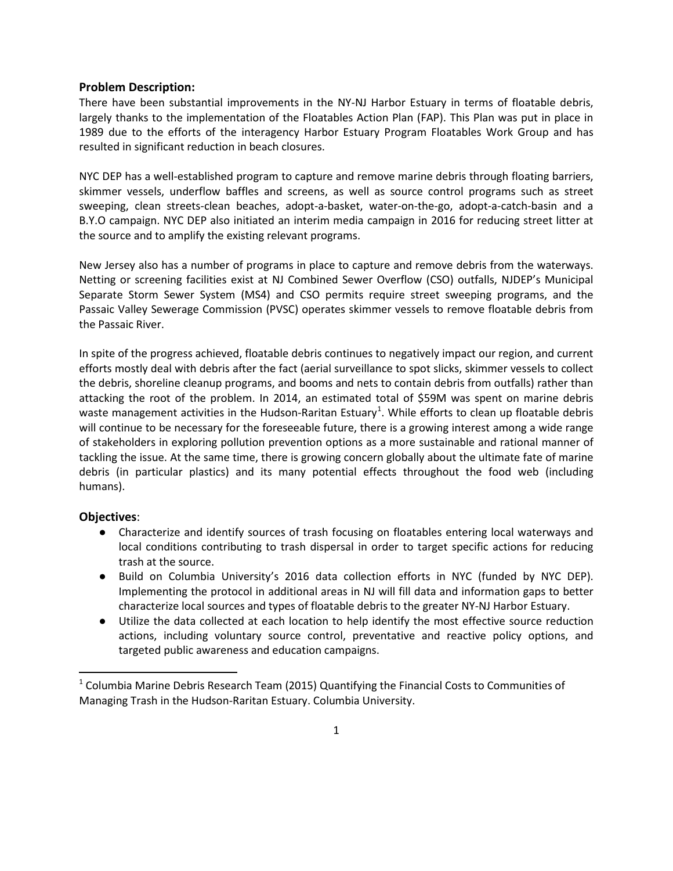## **Problem Description:**

There have been substantial improvements in the NY-NJ Harbor Estuary in terms of floatable debris, largely thanks to the implementation of the Floatables Action Plan (FAP). This Plan was put in place in 1989 due to the efforts of the interagency Harbor Estuary Program Floatables Work Group and has resulted in significant reduction in beach closures.

NYC DEP has a well-established program to capture and remove marine debris through floating barriers, skimmer vessels, underflow baffles and screens, as well as source control programs such as street sweeping, clean streets-clean beaches, adopt-a-basket, water-on-the-go, adopt-a-catch-basin and a B.Y.O campaign. NYC DEP also initiated an interim media campaign in 2016 for reducing street litter at the source and to amplify the existing relevant programs.

New Jersey also has a number of programs in place to capture and remove debris from the waterways. Netting or screening facilities exist at NJ Combined Sewer Overflow (CSO) outfalls, NJDEP's Municipal Separate Storm Sewer System (MS4) and CSO permits require street sweeping programs, and the Passaic Valley Sewerage Commission (PVSC) operates skimmer vessels to remove floatable debris from the Passaic River.

In spite of the progress achieved, floatable debris continues to negatively impact our region, and current efforts mostly deal with debris after the fact (aerial surveillance to spot slicks, skimmer vessels to collect the debris, shoreline cleanup programs, and booms and nets to contain debris from outfalls) rather than attacking the root of the problem. In 2014, an estimated total of \$59M was spent on marine debris waste management activities in the Hudson-Raritan Estuary<sup>[1](#page-0-0)</sup>. While efforts to clean up floatable debris will continue to be necessary for the foreseeable future, there is a growing interest among a wide range of stakeholders in exploring pollution prevention options as a more sustainable and rational manner of tackling the issue. At the same time, there is growing concern globally about the ultimate fate of marine debris (in particular plastics) and its many potential effects throughout the food web (including humans).

## **Objectives**:

- Characterize and identify sources of trash focusing on floatables entering local waterways and local conditions contributing to trash dispersal in order to target specific actions for reducing trash at the source.
- Build on Columbia University's 2016 data collection efforts in NYC (funded by NYC DEP). Implementing the protocol in additional areas in NJ will fill data and information gaps to better characterize local sources and types of floatable debris to the greater NY-NJ Harbor Estuary.
- Utilize the data collected at each location to help identify the most effective source reduction actions, including voluntary source control, preventative and reactive policy options, and targeted public awareness and education campaigns.

<span id="page-0-0"></span> $1$  Columbia Marine Debris Research Team (2015) Quantifying the Financial Costs to Communities of Managing Trash in the Hudson-Raritan Estuary. Columbia University.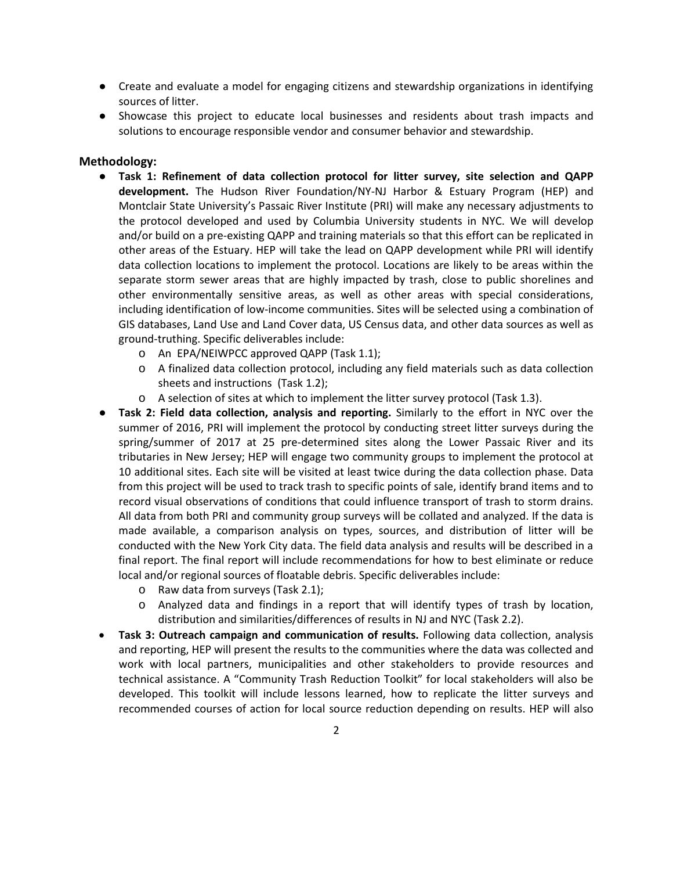- Create and evaluate a model for engaging citizens and stewardship organizations in identifying sources of litter.
- Showcase this project to educate local businesses and residents about trash impacts and solutions to encourage responsible vendor and consumer behavior and stewardship.

## **Methodology:**

- **Task 1: Refinement of data collection protocol for litter survey, site selection and QAPP development.** The Hudson River Foundation/NY-NJ Harbor & Estuary Program (HEP) and Montclair State University's Passaic River Institute (PRI) will make any necessary adjustments to the protocol developed and used by Columbia University students in NYC. We will develop and/or build on a pre-existing QAPP and training materials so that this effort can be replicated in other areas of the Estuary. HEP will take the lead on QAPP development while PRI will identify data collection locations to implement the protocol. Locations are likely to be areas within the separate storm sewer areas that are highly impacted by trash, close to public shorelines and other environmentally sensitive areas, as well as other areas with special considerations, including identification of low-income communities. Sites will be selected using a combination of GIS databases, Land Use and Land Cover data, US Census data, and other data sources as well as ground-truthing. Specific deliverables include:
	- o An EPA/NEIWPCC approved QAPP (Task 1.1);
	- o A finalized data collection protocol, including any field materials such as data collection sheets and instructions (Task 1.2);
	- o A selection of sites at which to implement the litter survey protocol (Task 1.3).
- **Task 2: Field data collection, analysis and reporting.** Similarly to the effort in NYC over the summer of 2016, PRI will implement the protocol by conducting street litter surveys during the spring/summer of 2017 at 25 pre-determined sites along the Lower Passaic River and its tributaries in New Jersey; HEP will engage two community groups to implement the protocol at 10 additional sites. Each site will be visited at least twice during the data collection phase. Data from this project will be used to track trash to specific points of sale, identify brand items and to record visual observations of conditions that could influence transport of trash to storm drains. All data from both PRI and community group surveys will be collated and analyzed. If the data is made available, a comparison analysis on types, sources, and distribution of litter will be conducted with the New York City data. The field data analysis and results will be described in a final report. The final report will include recommendations for how to best eliminate or reduce local and/or regional sources of floatable debris. Specific deliverables include:
	- o Raw data from surveys (Task 2.1);
	- o Analyzed data and findings in a report that will identify types of trash by location, distribution and similarities/differences of results in NJ and NYC (Task 2.2).
- **Task 3: Outreach campaign and communication of results.** Following data collection, analysis and reporting, HEP will present the results to the communities where the data was collected and work with local partners, municipalities and other stakeholders to provide resources and technical assistance. A "Community Trash Reduction Toolkit" for local stakeholders will also be developed. This toolkit will include lessons learned, how to replicate the litter surveys and recommended courses of action for local source reduction depending on results. HEP will also